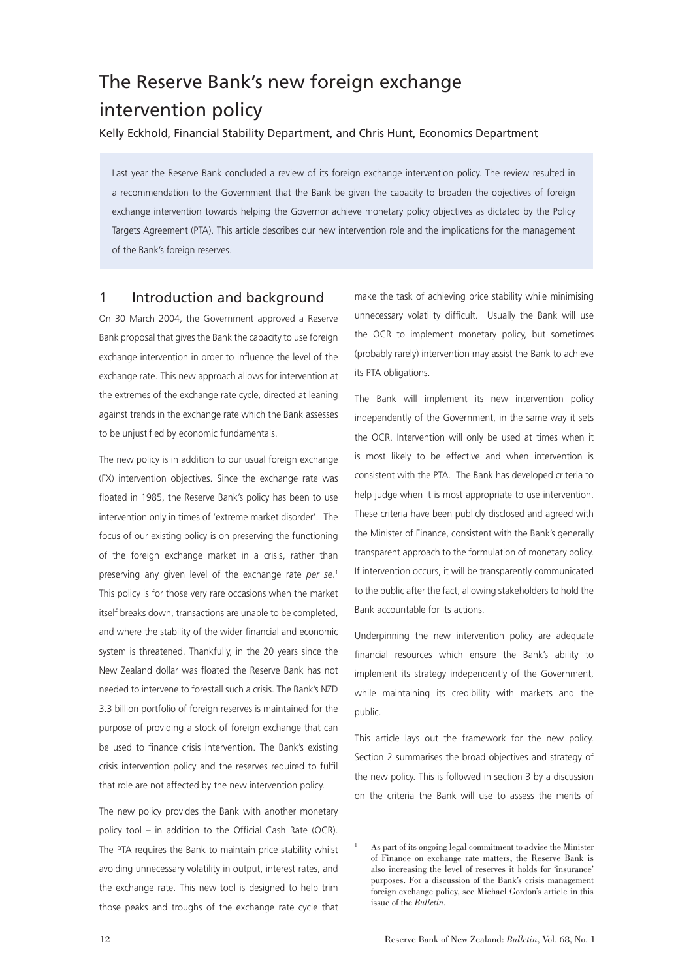# The Reserve Bank's new foreign exchange intervention policy

Kelly Eckhold, Financial Stability Department, and Chris Hunt, Economics Department

Last year the Reserve Bank concluded a review of its foreign exchange intervention policy. The review resulted in a recommendation to the Government that the Bank be given the capacity to broaden the objectives of foreign exchange intervention towards helping the Governor achieve monetary policy objectives as dictated by the Policy Targets Agreement (PTA). This article describes our new intervention role and the implications for the management of the Bank's foreign reserves.

### 1 Introduction and background

On 30 March 2004, the Government approved a Reserve Bank proposal that gives the Bank the capacity to use foreign exchange intervention in order to influence the level of the exchange rate. This new approach allows for intervention at the extremes of the exchange rate cycle, directed at leaning against trends in the exchange rate which the Bank assesses to be unjustified by economic fundamentals.

The new policy is in addition to our usual foreign exchange (FX) intervention objectives. Since the exchange rate was floated in 1985, the Reserve Bank's policy has been to use intervention only in times of 'extreme market disorder'. The focus of our existing policy is on preserving the functioning of the foreign exchange market in a crisis, rather than preserving any given level of the exchange rate *per se*. 1 This policy is for those very rare occasions when the market itself breaks down, transactions are unable to be completed, and where the stability of the wider financial and economic system is threatened. Thankfully, in the 20 years since the New Zealand dollar was floated the Reserve Bank has not needed to intervene to forestall such a crisis. The Bank's NZD 3.3 billion portfolio of foreign reserves is maintained for the purpose of providing a stock of foreign exchange that can be used to finance crisis intervention. The Bank's existing crisis intervention policy and the reserves required to fulfil that role are not affected by the new intervention policy.

The new policy provides the Bank with another monetary policy tool – in addition to the Official Cash Rate (OCR). The PTA requires the Bank to maintain price stability whilst avoiding unnecessary volatility in output, interest rates, and the exchange rate. This new tool is designed to help trim those peaks and troughs of the exchange rate cycle that

make the task of achieving price stability while minimising unnecessary volatility difficult. Usually the Bank will use the OCR to implement monetary policy, but sometimes (probably rarely) intervention may assist the Bank to achieve its PTA obligations.

The Bank will implement its new intervention policy independently of the Government, in the same way it sets the OCR. Intervention will only be used at times when it is most likely to be effective and when intervention is consistent with the PTA. The Bank has developed criteria to help judge when it is most appropriate to use intervention. These criteria have been publicly disclosed and agreed with the Minister of Finance, consistent with the Bank's generally transparent approach to the formulation of monetary policy. If intervention occurs, it will be transparently communicated to the public after the fact, allowing stakeholders to hold the Bank accountable for its actions.

Underpinning the new intervention policy are adequate financial resources which ensure the Bank's ability to implement its strategy independently of the Government, while maintaining its credibility with markets and the public.

This article lays out the framework for the new policy. Section 2 summarises the broad objectives and strategy of the new policy. This is followed in section 3 by a discussion on the criteria the Bank will use to assess the merits of

1

As part of its ongoing legal commitment to advise the Minister of Finance on exchange rate matters, the Reserve Bank is also increasing the level of reserves it holds for 'insurance' purposes. For a discussion of the Bank's crisis management foreign exchange policy, see Michael Gordon's article in this issue of the *Bulletin*.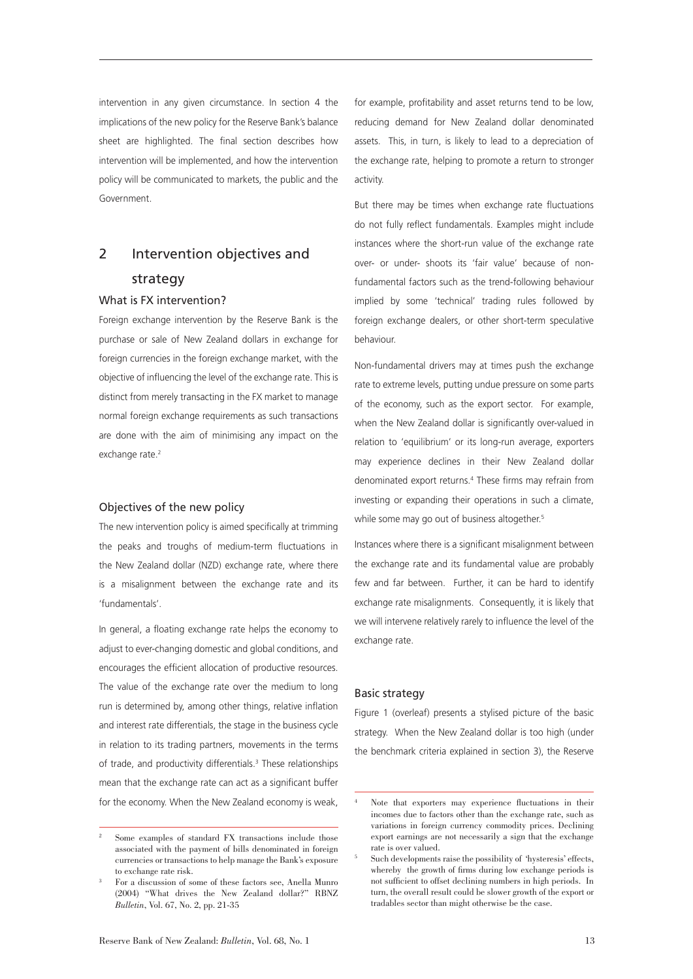intervention in any given circumstance. In section 4 the implications of the new policy for the Reserve Bank's balance sheet are highlighted. The final section describes how intervention will be implemented, and how the intervention policy will be communicated to markets, the public and the Government.

## 2 Intervention objectives and strategy

### What is FX intervention?

Foreign exchange intervention by the Reserve Bank is the purchase or sale of New Zealand dollars in exchange for foreign currencies in the foreign exchange market, with the objective of influencing the level of the exchange rate. This is distinct from merely transacting in the FX market to manage normal foreign exchange requirements as such transactions are done with the aim of minimising any impact on the exchange rate.<sup>2</sup>

### Objectives of the new policy

The new intervention policy is aimed specifically at trimming the peaks and troughs of medium-term fluctuations in the New Zealand dollar (NZD) exchange rate, where there is a misalignment between the exchange rate and its 'fundamentals'.

In general, a floating exchange rate helps the economy to adjust to ever-changing domestic and global conditions, and encourages the efficient allocation of productive resources. The value of the exchange rate over the medium to long run is determined by, among other things, relative inflation and interest rate differentials, the stage in the business cycle in relation to its trading partners, movements in the terms of trade, and productivity differentials.<sup>3</sup> These relationships mean that the exchange rate can act as a significant buffer for the economy. When the New Zealand economy is weak,

for example, profitability and asset returns tend to be low, reducing demand for New Zealand dollar denominated assets. This, in turn, is likely to lead to a depreciation of the exchange rate, helping to promote a return to stronger activity.

But there may be times when exchange rate fluctuations do not fully reflect fundamentals. Examples might include instances where the short-run value of the exchange rate over- or under- shoots its 'fair value' because of nonfundamental factors such as the trend-following behaviour implied by some 'technical' trading rules followed by foreign exchange dealers, or other short-term speculative behaviour.

Non-fundamental drivers may at times push the exchange rate to extreme levels, putting undue pressure on some parts of the economy, such as the export sector. For example, when the New Zealand dollar is significantly over-valued in relation to 'equilibrium' or its long-run average, exporters may experience declines in their New Zealand dollar denominated export returns.4 These firms may refrain from investing or expanding their operations in such a climate, while some may go out of business altogether.<sup>5</sup>

Instances where there is a significant misalignment between the exchange rate and its fundamental value are probably few and far between. Further, it can be hard to identify exchange rate misalignments. Consequently, it is likely that we will intervene relatively rarely to influence the level of the exchange rate.

### Basic strategy

Figure 1 (overleaf) presents a stylised picture of the basic strategy. When the New Zealand dollar is too high (under the benchmark criteria explained in section 3), the Reserve

<sup>2</sup> Some examples of standard FX transactions include those associated with the payment of bills denominated in foreign currencies or transactions to help manage the Bank's exposure to exchange rate risk.

<sup>3</sup> For a discussion of some of these factors see, Anella Munro (2004) "What drives the New Zealand dollar?" RBNZ *Bulletin*, Vol. 67, No. 2, pp. 21-35

<sup>4</sup> Note that exporters may experience fluctuations in their incomes due to factors other than the exchange rate, such as variations in foreign currency commodity prices. Declining export earnings are not necessarily a sign that the exchange rate is over valued.

<sup>5</sup> Such developments raise the possibility of 'hysteresis' effects, whereby the growth of firms during low exchange periods is not sufficient to offset declining numbers in high periods. In turn, the overall result could be slower growth of the export or tradables sector than might otherwise be the case.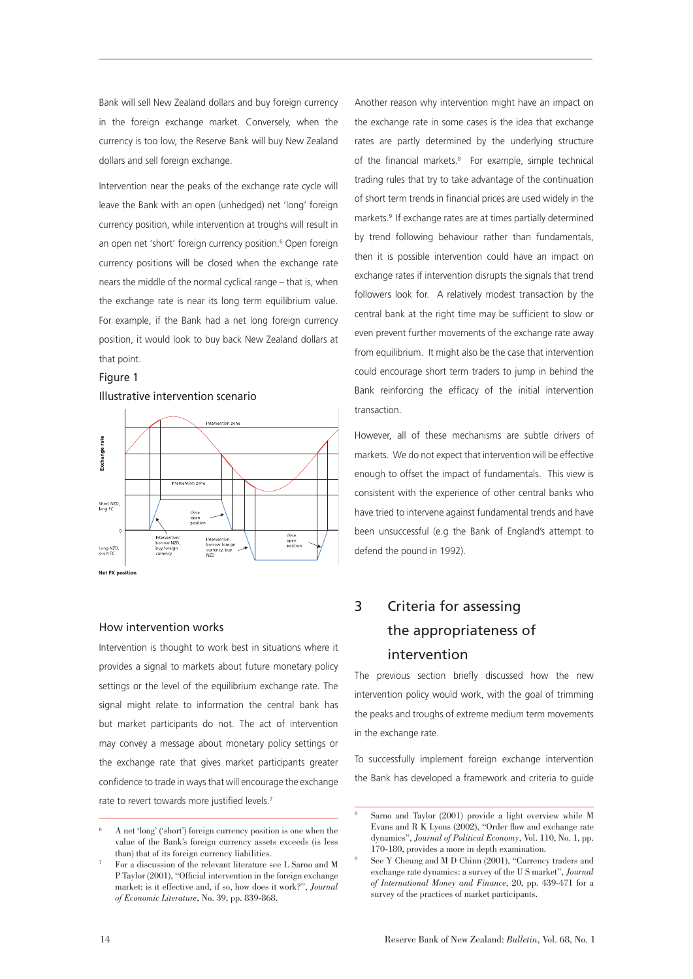Bank will sell New Zealand dollars and buy foreign currency in the foreign exchange market. Conversely, when the currency is too low, the Reserve Bank will buy New Zealand dollars and sell foreign exchange.

Intervention near the peaks of the exchange rate cycle will leave the Bank with an open (unhedged) net 'long' foreign currency position, while intervention at troughs will result in an open net 'short' foreign currency position.<sup>6</sup> Open foreign currency positions will be closed when the exchange rate nears the middle of the normal cyclical range – that is, when the exchange rate is near its long term equilibrium value. For example, if the Bank had a net long foreign currency position, it would look to buy back New Zealand dollars at that point.

### Figure 1 Illustrative intervention scenario



### How intervention works

Intervention is thought to work best in situations where it provides a signal to markets about future monetary policy settings or the level of the equilibrium exchange rate. The signal might relate to information the central bank has but market participants do not. The act of intervention may convey a message about monetary policy settings or the exchange rate that gives market participants greater confidence to trade in ways that will encourage the exchange rate to revert towards more justified levels.<sup>7</sup>

Another reason why intervention might have an impact on the exchange rate in some cases is the idea that exchange rates are partly determined by the underlying structure of the financial markets.<sup>8</sup> For example, simple technical trading rules that try to take advantage of the continuation of short term trends in financial prices are used widely in the markets.<sup>9</sup> If exchange rates are at times partially determined by trend following behaviour rather than fundamentals, then it is possible intervention could have an impact on exchange rates if intervention disrupts the signals that trend followers look for. A relatively modest transaction by the central bank at the right time may be sufficient to slow or even prevent further movements of the exchange rate away from equilibrium. It might also be the case that intervention could encourage short term traders to jump in behind the Bank reinforcing the efficacy of the initial intervention transaction.

However, all of these mechanisms are subtle drivers of markets. We do not expect that intervention will be effective enough to offset the impact of fundamentals. This view is consistent with the experience of other central banks who have tried to intervene against fundamental trends and have been unsuccessful (e.g the Bank of England's attempt to defend the pound in 1992).

## 3 Criteria for assessing the appropriateness of intervention

The previous section briefly discussed how the new intervention policy would work, with the goal of trimming the peaks and troughs of extreme medium term movements in the exchange rate.

To successfully implement foreign exchange intervention the Bank has developed a framework and criteria to guide

<sup>6</sup> A net 'long' ('short') foreign currency position is one when the value of the Bank's foreign currency assets exceeds (is less than) that of its foreign currency liabilities.

<sup>7</sup> For a discussion of the relevant literature see L Sarno and M P Taylor (2001), "Official intervention in the foreign exchange market: is it effective and, if so, how does it work?", *Journal of Economic Literature*, No. 39, pp. 839-868.

<sup>8</sup> Sarno and Taylor (2001) provide a light overview while M Evans and R K Lyons (2002), "Order flow and exchange rate dynamics", *Journal of Political Economy*, Vol. 110, No. 1, pp. 170-180, provides a more in depth examination.

<sup>9</sup> See Y Cheung and M D Chinn (2001), "Currency traders and exchange rate dynamics: a survey of the U S market", *Journal of International Money and Finance*, 20, pp. 439-471 for a survey of the practices of market participants.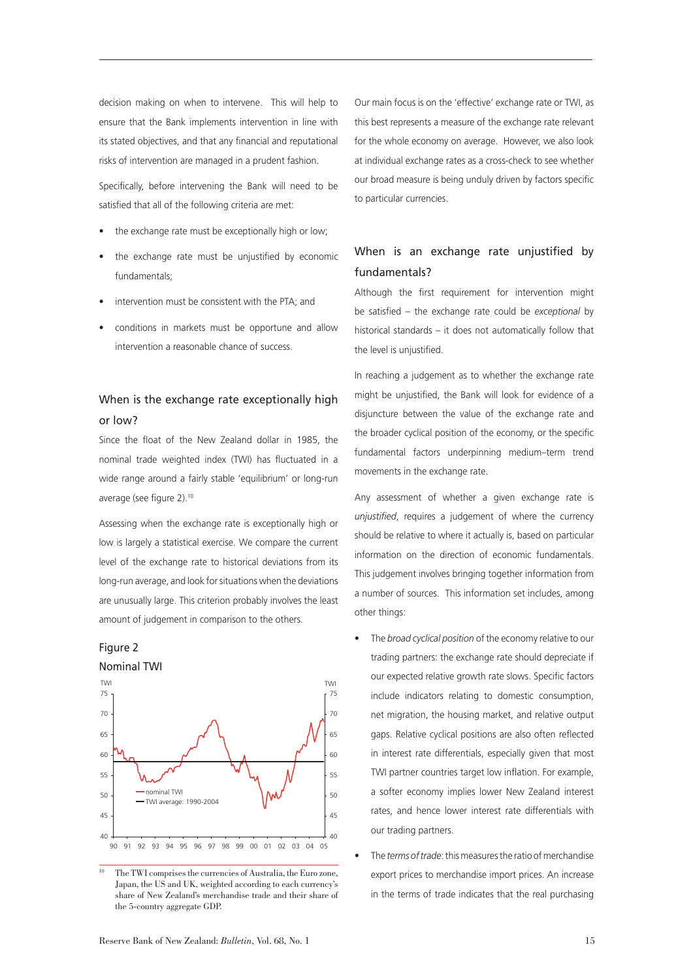decision making on when to intervene. This will help to ensure that the Bank implements intervention in line with its stated objectives, and that any financial and reputational risks of intervention are managed in a prudent fashion.

Specifically, before intervening the Bank will need to be satisfied that all of the following criteria are met:

- the exchange rate must be exceptionally high or low;
- the exchange rate must be unjustified by economic fundamentals;
- intervention must be consistent with the PTA; and
- conditions in markets must be opportune and allow intervention a reasonable chance of success.

### When is the exchange rate exceptionally high or low?

Since the float of the New Zealand dollar in 1985, the nominal trade weighted index (TWI) has fluctuated in a wide range around a fairly stable 'equilibrium' or long-run average (see figure 2).10

Assessing when the exchange rate is exceptionally high or low is largely a statistical exercise. We compare the current level of the exchange rate to historical deviations from its long-run average, and look for situations when the deviations are unusually large. This criterion probably involves the least amount of judgement in comparison to the others.





The TWI comprises the currencies of Australia, the Euro zone, Japan, the US and UK, weighted according to each currency's share of New Zealand's merchandise trade and their share of the 5-country aggregate GDP.

Our main focus is on the 'effective' exchange rate or TWI, as this best represents a measure of the exchange rate relevant for the whole economy on average. However, we also look at individual exchange rates as a cross-check to see whether our broad measure is being unduly driven by factors specific to particular currencies.

### When is an exchange rate unjustified by fundamentals?

Although the first requirement for intervention might be satisfied – the exchange rate could be *exceptional* by historical standards – it does not automatically follow that the level is unjustified.

In reaching a judgement as to whether the exchange rate might be unjustified, the Bank will look for evidence of a disjuncture between the value of the exchange rate and the broader cyclical position of the economy, or the specific fundamental factors underpinning medium–term trend movements in the exchange rate.

Any assessment of whether a given exchange rate is *unjustified*, requires a judgement of where the currency should be relative to where it actually is, based on particular information on the direction of economic fundamentals. This judgement involves bringing together information from a number of sources. This information set includes, among other things:

- The *broad cyclical position* of the economy relative to our trading partners: the exchange rate should depreciate if our expected relative growth rate slows. Specific factors include indicators relating to domestic consumption, net migration, the housing market, and relative output gaps. Relative cyclical positions are also often reflected in interest rate differentials, especially given that most TWI partner countries target low inflation. For example, a softer economy implies lower New Zealand interest rates, and hence lower interest rate differentials with our trading partners.
- The *terms of trade*: this measures the ratio of merchandise export prices to merchandise import prices. An increase in the terms of trade indicates that the real purchasing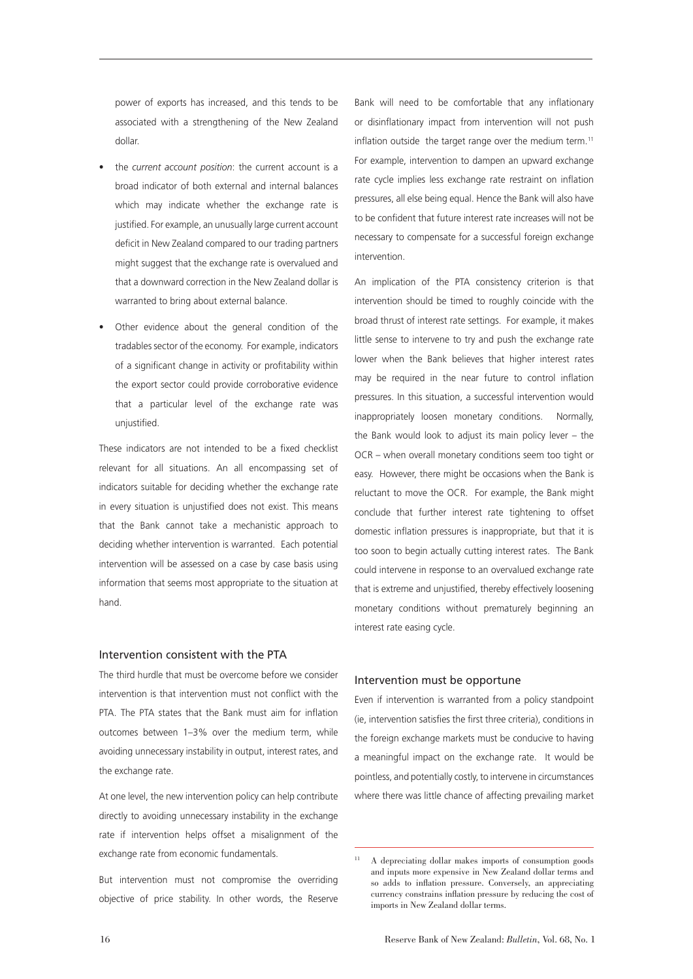power of exports has increased, and this tends to be associated with a strengthening of the New Zealand dollar.

- the *current account position*: the current account is a broad indicator of both external and internal balances which may indicate whether the exchange rate is justified. For example, an unusually large current account deficit in New Zealand compared to our trading partners might suggest that the exchange rate is overvalued and that a downward correction in the New Zealand dollar is warranted to bring about external balance.
- Other evidence about the general condition of the tradables sector of the economy. For example, indicators of a significant change in activity or profitability within the export sector could provide corroborative evidence that a particular level of the exchange rate was unjustified.

These indicators are not intended to be a fixed checklist relevant for all situations. An all encompassing set of indicators suitable for deciding whether the exchange rate in every situation is unjustified does not exist. This means that the Bank cannot take a mechanistic approach to deciding whether intervention is warranted. Each potential intervention will be assessed on a case by case basis using information that seems most appropriate to the situation at hand.

#### Intervention consistent with the PTA

The third hurdle that must be overcome before we consider intervention is that intervention must not conflict with the PTA. The PTA states that the Bank must aim for inflation outcomes between 1–3% over the medium term, while avoiding unnecessary instability in output, interest rates, and the exchange rate.

At one level, the new intervention policy can help contribute directly to avoiding unnecessary instability in the exchange rate if intervention helps offset a misalignment of the exchange rate from economic fundamentals.

But intervention must not compromise the overriding objective of price stability. In other words, the Reserve Bank will need to be comfortable that any inflationary or disinflationary impact from intervention will not push inflation outside the target range over the medium term.<sup>11</sup> For example, intervention to dampen an upward exchange rate cycle implies less exchange rate restraint on inflation pressures, all else being equal. Hence the Bank will also have to be confident that future interest rate increases will not be necessary to compensate for a successful foreign exchange intervention.

An implication of the PTA consistency criterion is that intervention should be timed to roughly coincide with the broad thrust of interest rate settings. For example, it makes little sense to intervene to try and push the exchange rate lower when the Bank believes that higher interest rates may be required in the near future to control inflation pressures. In this situation, a successful intervention would inappropriately loosen monetary conditions. Normally, the Bank would look to adjust its main policy lever – the OCR – when overall monetary conditions seem too tight or easy. However, there might be occasions when the Bank is reluctant to move the OCR. For example, the Bank might conclude that further interest rate tightening to offset domestic inflation pressures is inappropriate, but that it is too soon to begin actually cutting interest rates. The Bank could intervene in response to an overvalued exchange rate that is extreme and unjustified, thereby effectively loosening monetary conditions without prematurely beginning an interest rate easing cycle.

### Intervention must be opportune

Even if intervention is warranted from a policy standpoint (ie, intervention satisfies the first three criteria), conditions in the foreign exchange markets must be conducive to having a meaningful impact on the exchange rate. It would be pointless, and potentially costly, to intervene in circumstances where there was little chance of affecting prevailing market

<sup>11</sup> A depreciating dollar makes imports of consumption goods and inputs more expensive in New Zealand dollar terms and so adds to inflation pressure. Conversely, an appreciating currency constrains inflation pressure by reducing the cost of imports in New Zealand dollar terms.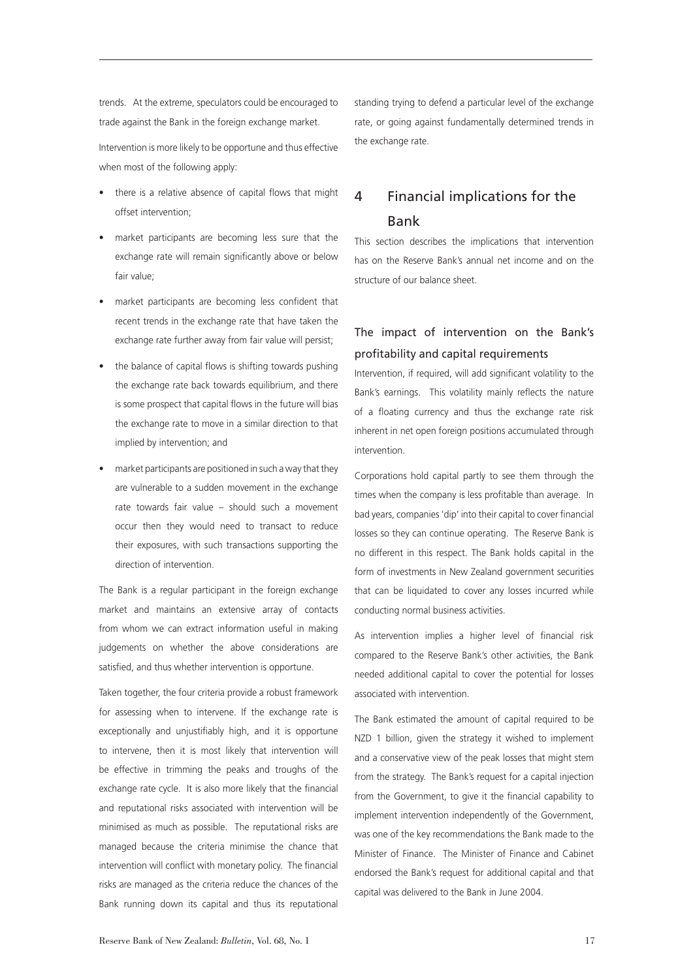trends. At the extreme, speculators could be encouraged to trade against the Bank in the foreign exchange market.

Intervention is more likely to be opportune and thus effective when most of the following apply:

- there is a relative absence of capital flows that might offset intervention;
- market participants are becoming less sure that the exchange rate will remain significantly above or below fair value;
- market participants are becoming less confident that recent trends in the exchange rate that have taken the exchange rate further away from fair value will persist;
- the balance of capital flows is shifting towards pushing the exchange rate back towards equilibrium, and there is some prospect that capital flows in the future will bias the exchange rate to move in a similar direction to that implied by intervention; and
- market participants are positioned in such a way that they are vulnerable to a sudden movement in the exchange rate towards fair value – should such a movement occur then they would need to transact to reduce their exposures, with such transactions supporting the direction of intervention.

The Bank is a regular participant in the foreign exchange market and maintains an extensive array of contacts from whom we can extract information useful in making judgements on whether the above considerations are satisfied, and thus whether intervention is opportune.

Taken together, the four criteria provide a robust framework for assessing when to intervene. If the exchange rate is exceptionally and unjustifiably high, and it is opportune to intervene, then it is most likely that intervention will be effective in trimming the peaks and troughs of the exchange rate cycle. It is also more likely that the financial and reputational risks associated with intervention will be minimised as much as possible. The reputational risks are managed because the criteria minimise the chance that intervention will conflict with monetary policy. The financial risks are managed as the criteria reduce the chances of the Bank running down its capital and thus its reputational

standing trying to defend a particular level of the exchange rate, or going against fundamentally determined trends in the exchange rate.

## 4 Financial implications for the Bank

This section describes the implications that intervention has on the Reserve Bank's annual net income and on the structure of our balance sheet.

### The impact of intervention on the Bank's profitability and capital requirements

Intervention, if required, will add significant volatility to the Bank's earnings. This volatility mainly reflects the nature of a floating currency and thus the exchange rate risk inherent in net open foreign positions accumulated through intervention.

Corporations hold capital partly to see them through the times when the company is less profitable than average. In bad years, companies 'dip' into their capital to cover financial losses so they can continue operating. The Reserve Bank is no different in this respect. The Bank holds capital in the form of investments in New Zealand government securities that can be liquidated to cover any losses incurred while conducting normal business activities.

As intervention implies a higher level of financial risk compared to the Reserve Bank's other activities, the Bank needed additional capital to cover the potential for losses associated with intervention.

The Bank estimated the amount of capital required to be NZD 1 billion, given the strategy it wished to implement and a conservative view of the peak losses that might stem from the strategy. The Bank's request for a capital injection from the Government, to give it the financial capability to implement intervention independently of the Government, was one of the key recommendations the Bank made to the Minister of Finance. The Minister of Finance and Cabinet endorsed the Bank's request for additional capital and that capital was delivered to the Bank in June 2004.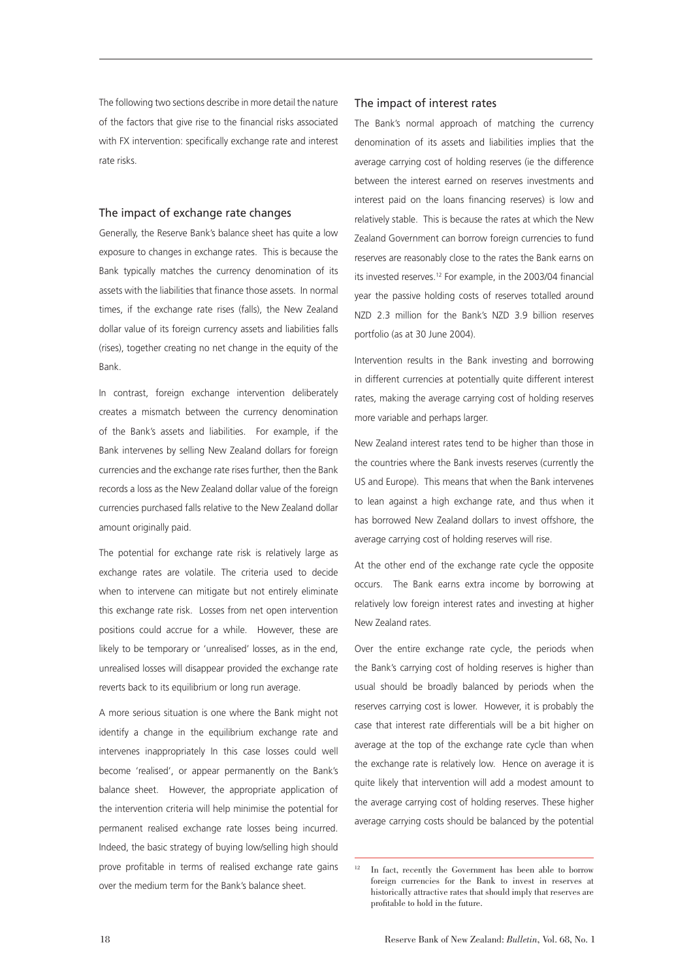The following two sections describe in more detail the nature of the factors that give rise to the financial risks associated with FX intervention: specifically exchange rate and interest rate risks.

### The impact of exchange rate changes

Generally, the Reserve Bank's balance sheet has quite a low exposure to changes in exchange rates. This is because the Bank typically matches the currency denomination of its assets with the liabilities that finance those assets. In normal times, if the exchange rate rises (falls), the New Zealand dollar value of its foreign currency assets and liabilities falls (rises), together creating no net change in the equity of the Bank.

In contrast, foreign exchange intervention deliberately creates a mismatch between the currency denomination of the Bank's assets and liabilities. For example, if the Bank intervenes by selling New Zealand dollars for foreign currencies and the exchange rate rises further, then the Bank records a loss as the New Zealand dollar value of the foreign currencies purchased falls relative to the New Zealand dollar amount originally paid.

The potential for exchange rate risk is relatively large as exchange rates are volatile. The criteria used to decide when to intervene can mitigate but not entirely eliminate this exchange rate risk. Losses from net open intervention positions could accrue for a while. However, these are likely to be temporary or 'unrealised' losses, as in the end, unrealised losses will disappear provided the exchange rate reverts back to its equilibrium or long run average.

A more serious situation is one where the Bank might not identify a change in the equilibrium exchange rate and intervenes inappropriately In this case losses could well become 'realised', or appear permanently on the Bank's balance sheet. However, the appropriate application of the intervention criteria will help minimise the potential for permanent realised exchange rate losses being incurred. Indeed, the basic strategy of buying low/selling high should prove profitable in terms of realised exchange rate gains over the medium term for the Bank's balance sheet.

#### The impact of interest rates

The Bank's normal approach of matching the currency denomination of its assets and liabilities implies that the average carrying cost of holding reserves (ie the difference between the interest earned on reserves investments and interest paid on the loans financing reserves) is low and relatively stable. This is because the rates at which the New Zealand Government can borrow foreign currencies to fund reserves are reasonably close to the rates the Bank earns on its invested reserves.12 For example, in the 2003/04 financial year the passive holding costs of reserves totalled around NZD 2.3 million for the Bank's NZD 3.9 billion reserves portfolio (as at 30 June 2004).

Intervention results in the Bank investing and borrowing in different currencies at potentially quite different interest rates, making the average carrying cost of holding reserves more variable and perhaps larger.

New Zealand interest rates tend to be higher than those in the countries where the Bank invests reserves (currently the US and Europe). This means that when the Bank intervenes to lean against a high exchange rate, and thus when it has borrowed New Zealand dollars to invest offshore, the average carrying cost of holding reserves will rise.

At the other end of the exchange rate cycle the opposite occurs. The Bank earns extra income by borrowing at relatively low foreign interest rates and investing at higher New Zealand rates.

Over the entire exchange rate cycle, the periods when the Bank's carrying cost of holding reserves is higher than usual should be broadly balanced by periods when the reserves carrying cost is lower. However, it is probably the case that interest rate differentials will be a bit higher on average at the top of the exchange rate cycle than when the exchange rate is relatively low. Hence on average it is quite likely that intervention will add a modest amount to the average carrying cost of holding reserves. These higher average carrying costs should be balanced by the potential

In fact, recently the Government has been able to borrow foreign currencies for the Bank to invest in reserves at historically attractive rates that should imply that reserves are profitable to hold in the future.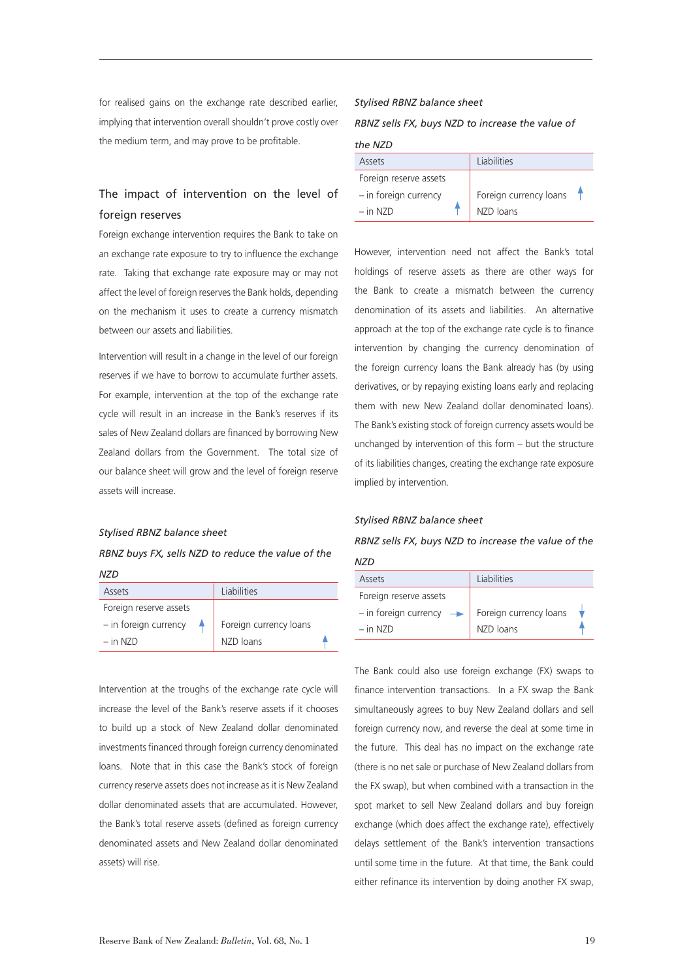for realised gains on the exchange rate described earlier, implying that intervention overall shouldn't prove costly over the medium term, and may prove to be profitable.

### The impact of intervention on the level of foreign reserves

Foreign exchange intervention requires the Bank to take on an exchange rate exposure to try to influence the exchange rate. Taking that exchange rate exposure may or may not affect the level of foreign reserves the Bank holds, depending on the mechanism it uses to create a currency mismatch between our assets and liabilities.

Intervention will result in a change in the level of our foreign reserves if we have to borrow to accumulate further assets. For example, intervention at the top of the exchange rate cycle will result in an increase in the Bank's reserves if its sales of New Zealand dollars are financed by borrowing New Zealand dollars from the Government. The total size of our balance sheet will grow and the level of foreign reserve assets will increase.

#### *Stylised RBNZ balance sheet*

### *RBNZ buys FX, sells NZD to reduce the value of the*

*NZD*

| Assets                 | <b>Liabilities</b>     |
|------------------------|------------------------|
| Foreign reserve assets |                        |
| - in foreign currency  | Foreign currency loans |
| $-$ in N7D             | NZD loans              |

Intervention at the troughs of the exchange rate cycle will increase the level of the Bank's reserve assets if it chooses to build up a stock of New Zealand dollar denominated investments financed through foreign currency denominated loans. Note that in this case the Bank's stock of foreign currency reserve assets does not increase as it is New Zealand dollar denominated assets that are accumulated. However, the Bank's total reserve assets (defined as foreign currency denominated assets and New Zealand dollar denominated assets) will rise.

#### *Stylised RBNZ balance sheet*

#### *RBNZ sells FX, buys NZD to increase the value of*

|  | 1e I.<br>,, | VZ |
|--|-------------|----|
|--|-------------|----|

| <b>Assets</b>          | <b>Liabilities</b>     |
|------------------------|------------------------|
| Foreign reserve assets |                        |
| - in foreign currency  | Foreign currency loans |
| $-$ in N7D             | NZD loans              |

However, intervention need not affect the Bank's total holdings of reserve assets as there are other ways for the Bank to create a mismatch between the currency denomination of its assets and liabilities. An alternative approach at the top of the exchange rate cycle is to finance intervention by changing the currency denomination of the foreign currency loans the Bank already has (by using derivatives, or by repaying existing loans early and replacing them with new New Zealand dollar denominated loans). The Bank's existing stock of foreign currency assets would be unchanged by intervention of this form – but the structure of its liabilities changes, creating the exchange rate exposure implied by intervention.

#### *Stylised RBNZ balance sheet*

### *RBNZ sells FX, buys NZD to increase the value of the NZD*

| Assets                                | Liabilities            |  |
|---------------------------------------|------------------------|--|
| Foreign reserve assets                |                        |  |
| $-$ in foreign currency $\rightarrow$ | Foreign currency loans |  |
| $-$ in N7D                            | NZD loans              |  |
|                                       |                        |  |

The Bank could also use foreign exchange (FX) swaps to finance intervention transactions. In a FX swap the Bank simultaneously agrees to buy New Zealand dollars and sell foreign currency now, and reverse the deal at some time in the future. This deal has no impact on the exchange rate (there is no net sale or purchase of New Zealand dollars from the FX swap), but when combined with a transaction in the spot market to sell New Zealand dollars and buy foreign exchange (which does affect the exchange rate), effectively delays settlement of the Bank's intervention transactions until some time in the future. At that time, the Bank could either refinance its intervention by doing another FX swap,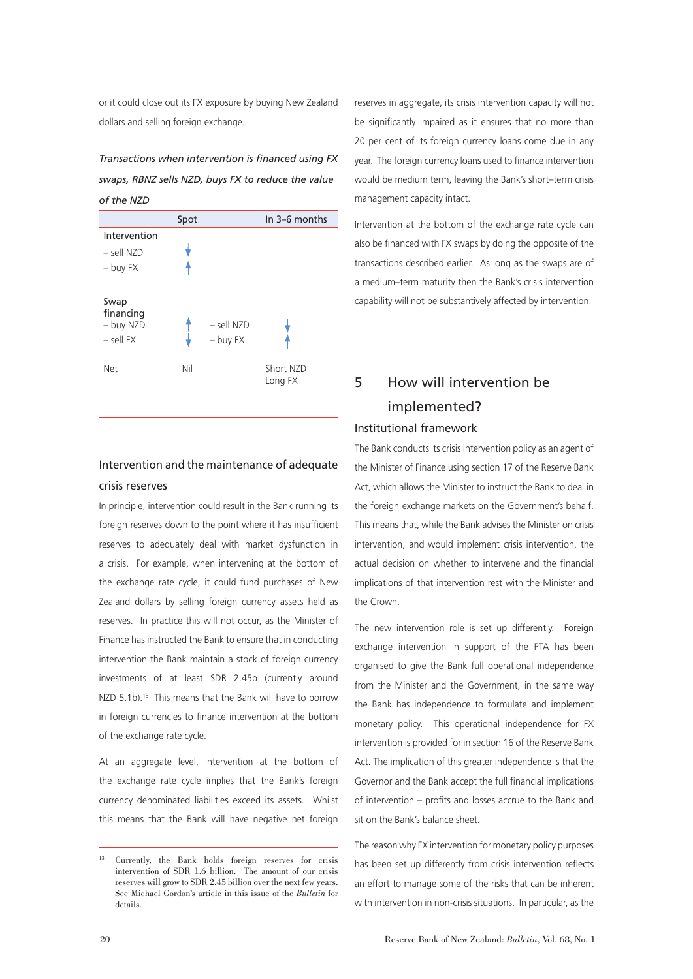or it could close out its FX exposure by buying New Zealand dollars and selling foreign exchange.

### *Transactions when intervention is financed using FX swaps, RBNZ sells NZD, buys FX to reduce the value of the NZD*



### Intervention and the maintenance of adequate crisis reserves

In principle, intervention could result in the Bank running its foreign reserves down to the point where it has insufficient reserves to adequately deal with market dysfunction in a crisis. For example, when intervening at the bottom of the exchange rate cycle, it could fund purchases of New Zealand dollars by selling foreign currency assets held as reserves. In practice this will not occur, as the Minister of Finance has instructed the Bank to ensure that in conducting intervention the Bank maintain a stock of foreign currency investments of at least SDR 2.45b (currently around NZD 5.1b).<sup>13</sup> This means that the Bank will have to borrow in foreign currencies to finance intervention at the bottom of the exchange rate cycle.

At an aggregate level, intervention at the bottom of the exchange rate cycle implies that the Bank's foreign currency denominated liabilities exceed its assets. Whilst this means that the Bank will have negative net foreign

reserves in aggregate, its crisis intervention capacity will not be significantly impaired as it ensures that no more than 20 per cent of its foreign currency loans come due in any year. The foreign currency loans used to finance intervention would be medium term, leaving the Bank's short–term crisis management capacity intact.

Intervention at the bottom of the exchange rate cycle can also be financed with FX swaps by doing the opposite of the transactions described earlier. As long as the swaps are of a medium–term maturity then the Bank's crisis intervention capability will not be substantively affected by intervention.

# 5 How will intervention be implemented?

### Institutional framework

The Bank conducts its crisis intervention policy as an agent of the Minister of Finance using section 17 of the Reserve Bank Act, which allows the Minister to instruct the Bank to deal in the foreign exchange markets on the Government's behalf. This means that, while the Bank advises the Minister on crisis intervention, and would implement crisis intervention, the actual decision on whether to intervene and the financial implications of that intervention rest with the Minister and the Crown.

The new intervention role is set up differently. Foreign exchange intervention in support of the PTA has been organised to give the Bank full operational independence from the Minister and the Government, in the same way the Bank has independence to formulate and implement monetary policy. This operational independence for FX intervention is provided for in section 16 of the Reserve Bank Act. The implication of this greater independence is that the Governor and the Bank accept the full financial implications of intervention – profits and losses accrue to the Bank and sit on the Bank's balance sheet.

The reason why FX intervention for monetary policy purposes has been set up differently from crisis intervention reflects an effort to manage some of the risks that can be inherent with intervention in non-crisis situations. In particular, as the

Currently, the Bank holds foreign reserves for crisis intervention of SDR 1.6 billion. The amount of our crisis reserves will grow to SDR 2.45 billion over the next few years. See Michael Gordon's article in this issue of the *Bulletin* for details.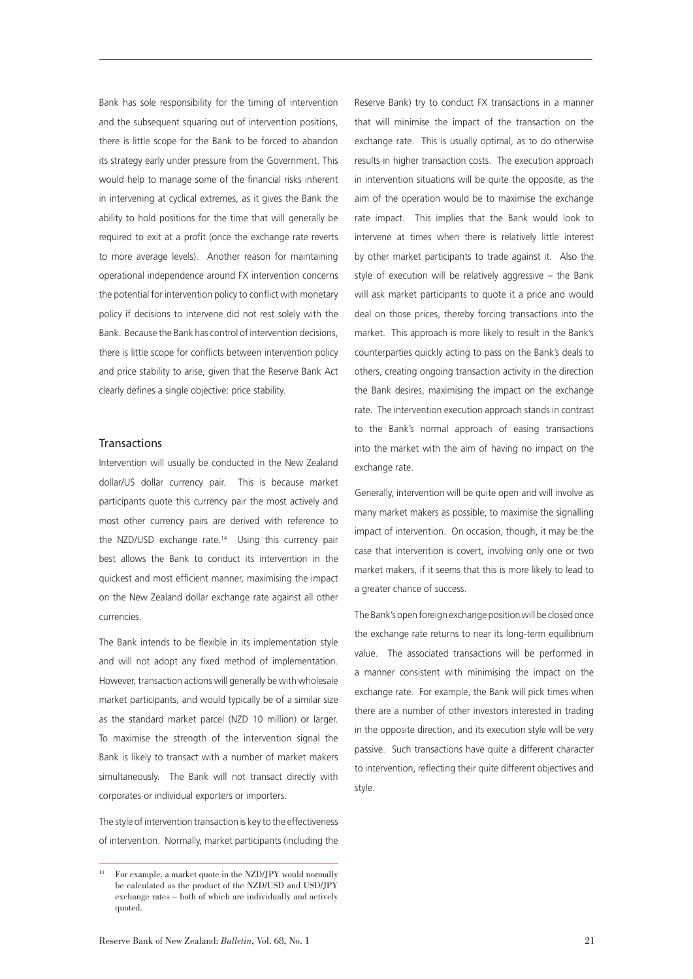Bank has sole responsibility for the timing of intervention and the subsequent squaring out of intervention positions, there is little scope for the Bank to be forced to abandon its strategy early under pressure from the Government. This would help to manage some of the financial risks inherent in intervening at cyclical extremes, as it gives the Bank the ability to hold positions for the time that will generally be required to exit at a profit (once the exchange rate reverts to more average levels). Another reason for maintaining operational independence around FX intervention concerns the potential for intervention policy to conflict with monetary policy if decisions to intervene did not rest solely with the Bank. Because the Bank has control of intervention decisions, there is little scope for conflicts between intervention policy and price stability to arise, given that the Reserve Bank Act clearly defines a single objective: price stability.

#### **Transactions**

Intervention will usually be conducted in the New Zealand dollar/US dollar currency pair. This is because market participants quote this currency pair the most actively and most other currency pairs are derived with reference to the NZD/USD exchange rate.<sup>14</sup> Using this currency pair best allows the Bank to conduct its intervention in the quickest and most efficient manner, maximising the impact on the New Zealand dollar exchange rate against all other currencies.

The Bank intends to be flexible in its implementation style and will not adopt any fixed method of implementation. However, transaction actions will generally be with wholesale market participants, and would typically be of a similar size as the standard market parcel (NZD 10 million) or larger. To maximise the strength of the intervention signal the Bank is likely to transact with a number of market makers simultaneously. The Bank will not transact directly with corporates or individual exporters or importers.

The style of intervention transaction is key to the effectiveness of intervention. Normally, market participants (including the Reserve Bank) try to conduct FX transactions in a manner that will minimise the impact of the transaction on the exchange rate. This is usually optimal, as to do otherwise results in higher transaction costs. The execution approach in intervention situations will be quite the opposite, as the aim of the operation would be to maximise the exchange rate impact. This implies that the Bank would look to intervene at times when there is relatively little interest by other market participants to trade against it. Also the style of execution will be relatively aggressive – the Bank will ask market participants to quote it a price and would deal on those prices, thereby forcing transactions into the market. This approach is more likely to result in the Bank's counterparties quickly acting to pass on the Bank's deals to others, creating ongoing transaction activity in the direction the Bank desires, maximising the impact on the exchange rate. The intervention execution approach stands in contrast to the Bank's normal approach of easing transactions into the market with the aim of having no impact on the exchange rate.

Generally, intervention will be quite open and will involve as many market makers as possible, to maximise the signalling impact of intervention. On occasion, though, it may be the case that intervention is covert, involving only one or two market makers, if it seems that this is more likely to lead to a greater chance of success.

The Bank's open foreign exchange position will be closed once the exchange rate returns to near its long-term equilibrium value. The associated transactions will be performed in a manner consistent with minimising the impact on the exchange rate. For example, the Bank will pick times when there are a number of other investors interested in trading in the opposite direction, and its execution style will be very passive. Such transactions have quite a different character to intervention, reflecting their quite different objectives and style.

For example, a market quote in the NZD/JPY would normally be calculated as the product of the NZD/USD and USD/JPY exchange rates – both of which are individually and actively quoted.